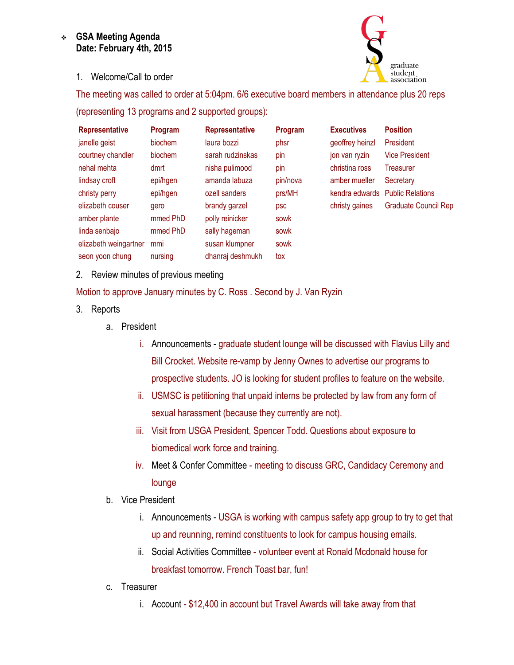## **GSA Meeting Agenda Date: February 4th, 2015**

1. Welcome/Call to order



The meeting was called to order at 5:04pm. 6/6 executive board members in attendance plus 20 reps

(representing 13 programs and 2 supported groups):

| <b>Representative</b> | Program  | <b>Representative</b> | Program  | <b>Executives</b> | <b>Position</b>                 |
|-----------------------|----------|-----------------------|----------|-------------------|---------------------------------|
| janelle geist         | biochem  | laura bozzi           | phsr     | geoffrey heinzl   | President                       |
| courtney chandler     | biochem  | sarah rudzinskas      | pin      | jon van ryzin     | <b>Vice President</b>           |
| nehal mehta           | dmrt     | nisha pulimood        | pin      | christina ross    | <b>Treasurer</b>                |
| lindsay croft         | epi/hgen | amanda labuza         | pin/nova | amber mueller     | Secretary                       |
| christy perry         | epi/hgen | ozell sanders         | prs/MH   |                   | kendra edwards Public Relations |
| elizabeth couser      | gero     | brandy garzel         | psc      | christy gaines    | <b>Graduate Council Rep</b>     |
| amber plante          | mmed PhD | polly reinicker       | sowk     |                   |                                 |
| linda senbajo         | mmed PhD | sally hageman         | sowk     |                   |                                 |
| elizabeth weingartner | mmi      | susan klumpner        | sowk     |                   |                                 |
| seon yoon chung       | nursing  | dhanraj deshmukh      | tox      |                   |                                 |

2. Review minutes of previous meeting

Motion to approve January minutes by C. Ross . Second by J. Van Ryzin

- 3. Reports
	- a. President
		- i. Announcements graduate student lounge will be discussed with Flavius Lilly and Bill Crocket. Website re-vamp by Jenny Ownes to advertise our programs to prospective students. JO is looking for student profiles to feature on the website.
		- ii. USMSC is petitioning that unpaid interns be protected by law from any form of sexual harassment (because they currently are not).
		- iii. Visit from USGA President, Spencer Todd. Questions about exposure to biomedical work force and training.
		- iv. Meet & Confer Committee meeting to discuss GRC, Candidacy Ceremony and lounge
	- b. Vice President
		- i. Announcements USGA is working with campus safety app group to try to get that up and reunning, remind constituents to look for campus housing emails.
		- ii. Social Activities Committee volunteer event at Ronald Mcdonald house for breakfast tomorrow. French Toast bar, fun!
	- c. Treasurer
		- i. Account \$12,400 in account but Travel Awards will take away from that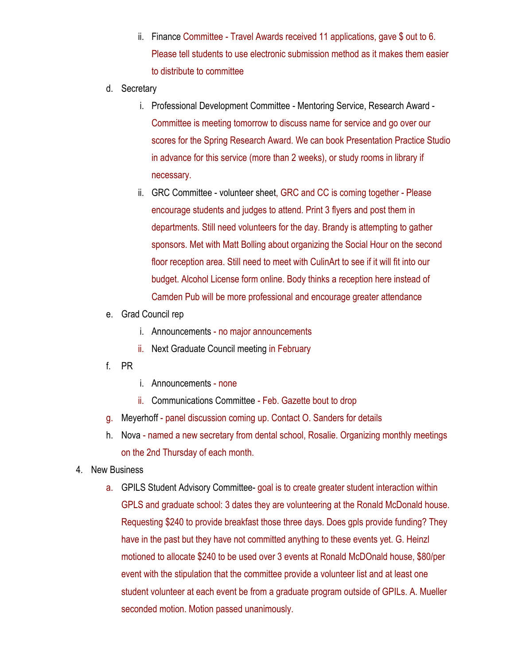- ii. Finance Committee Travel Awards received 11 applications, gave \$ out to 6. Please tell students to use electronic submission method as it makes them easier to distribute to committee
- d. Secretary
	- i. Professional Development Committee Mentoring Service, Research Award Committee is meeting tomorrow to discuss name for service and go over our scores for the Spring Research Award. We can book Presentation Practice Studio in advance for this service (more than 2 weeks), or study rooms in library if necessary.
	- ii. GRC Committee volunteer sheet, GRC and CC is coming together Please encourage students and judges to attend. Print 3 flyers and post them in departments. Still need volunteers for the day. Brandy is attempting to gather sponsors. Met with Matt Bolling about organizing the Social Hour on the second floor reception area. Still need to meet with CulinArt to see if it will fit into our budget. Alcohol License form online. Body thinks a reception here instead of Camden Pub will be more professional and encourage greater attendance
- e. Grad Council rep
	- i. Announcements no major announcements
	- ii. Next Graduate Council meeting in February
- f. PR
- i. Announcements none
- ii. Communications Committee Feb. Gazette bout to drop
- g. Meyerhoff panel discussion coming up. Contact O. Sanders for details
- h. Nova named a new secretary from dental school, Rosalie. Organizing monthly meetings on the 2nd Thursday of each month.
- 4. New Business
	- a. GPILS Student Advisory Committee- goal is to create greater student interaction within GPLS and graduate school: 3 dates they are volunteering at the Ronald McDonald house. Requesting \$240 to provide breakfast those three days. Does gpls provide funding? They have in the past but they have not committed anything to these events yet. G. Heinzl motioned to allocate \$240 to be used over 3 events at Ronald McDOnald house, \$80/per event with the stipulation that the committee provide a volunteer list and at least one student volunteer at each event be from a graduate program outside of GPILs. A. Mueller seconded motion. Motion passed unanimously.